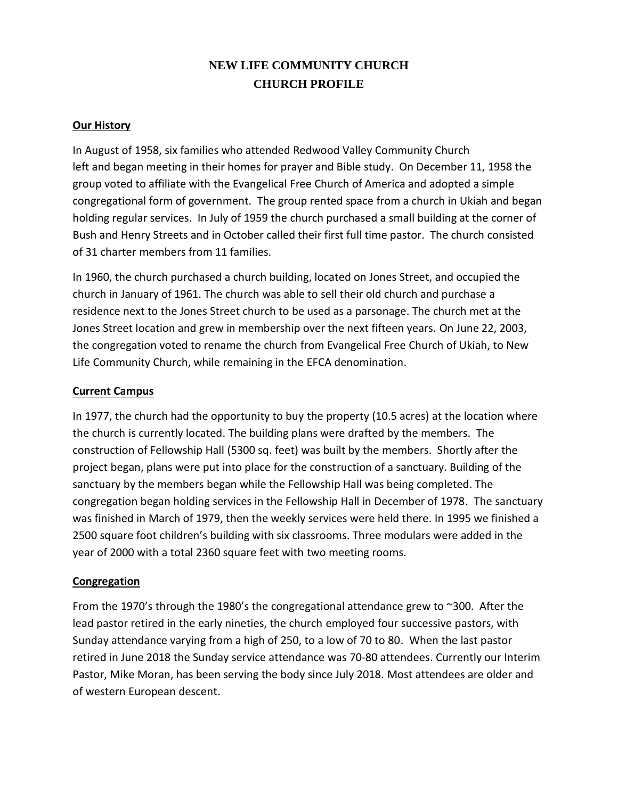# **NEW LIFE COMMUNITY CHURCH CHURCH PROFILE**

## **Our History**

In August of 1958, six families who attended Redwood Valley Community Church left and began meeting in their homes for prayer and Bible study. On December 11, 1958 the group voted to affiliate with the Evangelical Free Church of America and adopted a simple congregational form of government. The group rented space from a church in Ukiah and began holding regular services. In July of 1959 the church purchased a small building at the corner of Bush and Henry Streets and in October called their first full time pastor. The church consisted of 31 charter members from 11 families.

In 1960, the church purchased a church building, located on Jones Street, and occupied the church in January of 1961. The church was able to sell their old church and purchase a residence next to the Jones Street church to be used as a parsonage. The church met at the Jones Street location and grew in membership over the next fifteen years. On June 22, 2003, the congregation voted to rename the church from Evangelical Free Church of Ukiah, to New Life Community Church, while remaining in the EFCA denomination.

### **Current Campus**

In 1977, the church had the opportunity to buy the property (10.5 acres) at the location where the church is currently located. The building plans were drafted by the members. The construction of Fellowship Hall (5300 sq. feet) was built by the members. Shortly after the project began, plans were put into place for the construction of a sanctuary. Building of the sanctuary by the members began while the Fellowship Hall was being completed. The congregation began holding services in the Fellowship Hall in December of 1978. The sanctuary was finished in March of 1979, then the weekly services were held there. In 1995 we finished a 2500 square foot children's building with six classrooms. Three modulars were added in the year of 2000 with a total 2360 square feet with two meeting rooms.

# **Congregation**

From the 1970's through the 1980's the congregational attendance grew to ~300. After the lead pastor retired in the early nineties, the church employed four successive pastors, with Sunday attendance varying from a high of 250, to a low of 70 to 80. When the last pastor retired in June 2018 the Sunday service attendance was 70-80 attendees. Currently our Interim Pastor, Mike Moran, has been serving the body since July 2018. Most attendees are older and of western European descent.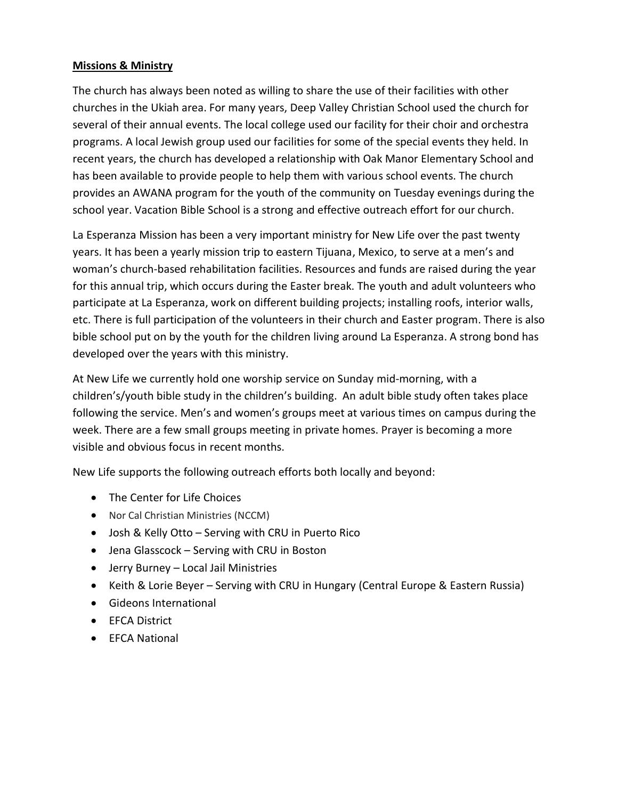# **Missions & Ministry**

The church has always been noted as willing to share the use of their facilities with other churches in the Ukiah area. For many years, Deep Valley Christian School used the church for several of their annual events. The local college used our facility for their choir and orchestra programs. A local Jewish group used our facilities for some of the special events they held. In recent years, the church has developed a relationship with Oak Manor Elementary School and has been available to provide people to help them with various school events. The church provides an AWANA program for the youth of the community on Tuesday evenings during the school year. Vacation Bible School is a strong and effective outreach effort for our church.

La Esperanza Mission has been a very important ministry for New Life over the past twenty years. It has been a yearly mission trip to eastern Tijuana, Mexico, to serve at a men's and woman's church-based rehabilitation facilities. Resources and funds are raised during the year for this annual trip, which occurs during the Easter break. The youth and adult volunteers who participate at La Esperanza, work on different building projects; installing roofs, interior walls, etc. There is full participation of the volunteers in their church and Easter program. There is also bible school put on by the youth for the children living around La Esperanza. A strong bond has developed over the years with this ministry.

At New Life we currently hold one worship service on Sunday mid-morning, with a children's/youth bible study in the children's building. An adult bible study often takes place following the service. Men's and women's groups meet at various times on campus during the week. There are a few small groups meeting in private homes. Prayer is becoming a more visible and obvious focus in recent months.

New Life supports the following outreach efforts both locally and beyond:

- The Center for Life Choices
- Nor Cal Christian Ministries (NCCM)
- Josh & Kelly Otto Serving with CRU in Puerto Rico
- Jena Glasscock Serving with CRU in Boston
- Jerry Burney Local Jail Ministries
- Keith & Lorie Beyer Serving with CRU in Hungary (Central Europe & Eastern Russia)
- Gideons International
- EFCA District
- EFCA National